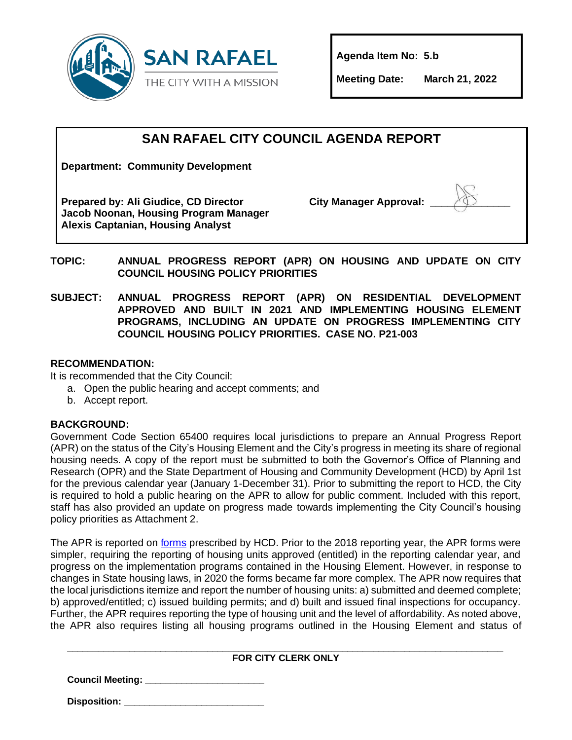

**Agenda Item No: 5.b**

**Meeting Date: March 21, 2022**

### **SAN RAFAEL CITY COUNCIL AGENDA REPORT**

**Department: Community Development**

**Prepared by: Ali Giudice, CD Director Jacob Noonan, Housing Program Manager Alexis Captanian, Housing Analyst**

**City Manager Approval:** 



**TOPIC: ANNUAL PROGRESS REPORT (APR) ON HOUSING AND UPDATE ON CITY COUNCIL HOUSING POLICY PRIORITIES**

**SUBJECT: ANNUAL PROGRESS REPORT (APR) ON RESIDENTIAL DEVELOPMENT APPROVED AND BUILT IN 2021 AND IMPLEMENTING HOUSING ELEMENT PROGRAMS, INCLUDING AN UPDATE ON PROGRESS IMPLEMENTING CITY COUNCIL HOUSING POLICY PRIORITIES. CASE NO. P21-003**

#### **RECOMMENDATION:**

It is recommended that the City Council:

- a. Open the public hearing and accept comments; and
- b. Accept report.

#### **BACKGROUND:**

Government Code Section 65400 requires local jurisdictions to prepare an Annual Progress Report (APR) on the status of the City's Housing Element and the City's progress in meeting its share of regional housing needs. A copy of the report must be submitted to both the Governor's Office of Planning and Research (OPR) and the State Department of Housing and Community Development (HCD) by April 1st for the previous calendar year (January 1-December 31). Prior to submitting the report to HCD, the City is required to hold a public hearing on the APR to allow for public comment. Included with this report, staff has also provided an update on progress made towards implementing the City Council's housing policy priorities as Attachment 2.

The APR is reported on [forms](https://www.hcd.ca.gov/community-development/housing-element/index.shtml) prescribed by HCD. Prior to the 2018 reporting year, the APR forms were simpler, requiring the reporting of housing units approved (entitled) in the reporting calendar year, and progress on the implementation programs contained in the Housing Element. However, in response to changes in State housing laws, in 2020 the forms became far more complex. The APR now requires that the local jurisdictions itemize and report the number of housing units: a) submitted and deemed complete; b) approved/entitled; c) issued building permits; and d) built and issued final inspections for occupancy. Further, the APR requires reporting the type of housing unit and the level of affordability. As noted above, the APR also requires listing all housing programs outlined in the Housing Element and status of

#### **\_\_\_\_\_\_\_\_\_\_\_\_\_\_\_\_\_\_\_\_\_\_\_\_\_\_\_\_\_\_\_\_\_\_\_\_\_\_\_\_\_\_\_\_\_\_\_\_\_\_\_\_\_\_\_\_\_\_\_\_\_\_\_\_\_\_\_\_\_\_\_\_\_\_\_\_\_\_\_\_\_\_\_\_ FOR CITY CLERK ONLY**

**Council Meeting: \_\_\_\_\_\_\_\_\_\_\_\_\_\_\_\_\_\_\_\_\_\_\_**

**Disposition: \_\_\_\_\_\_\_\_\_\_\_\_\_\_\_\_\_\_\_\_\_\_\_\_\_\_\_**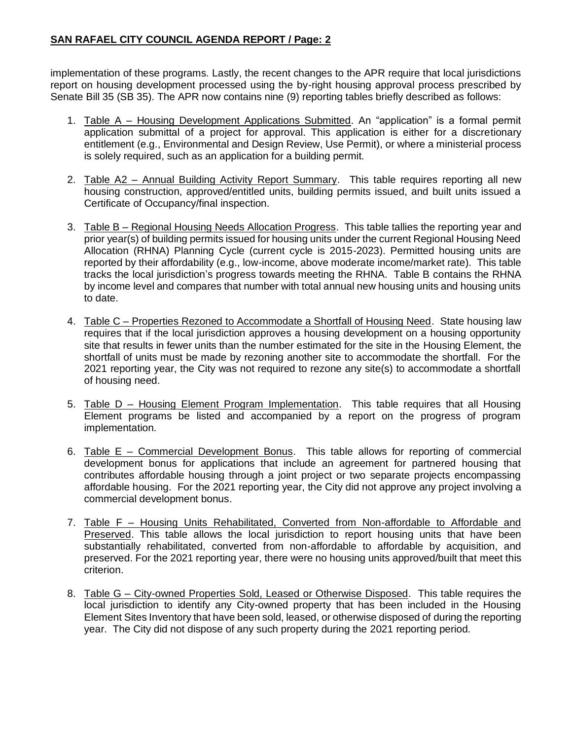#### **SAN RAFAEL CITY COUNCIL AGENDA REPORT / Page: 2**

implementation of these programs. Lastly, the recent changes to the APR require that local jurisdictions report on housing development processed using the by-right housing approval process prescribed by Senate Bill 35 (SB 35). The APR now contains nine (9) reporting tables briefly described as follows:

- 1. Table A Housing Development Applications Submitted. An "application" is a formal permit application submittal of a project for approval. This application is either for a discretionary entitlement (e.g., Environmental and Design Review, Use Permit), or where a ministerial process is solely required, such as an application for a building permit.
- 2. Table A2 Annual Building Activity Report Summary. This table requires reporting all new housing construction, approved/entitled units, building permits issued, and built units issued a Certificate of Occupancy/final inspection.
- 3. Table B Regional Housing Needs Allocation Progress. This table tallies the reporting year and prior year(s) of building permits issued for housing units under the current Regional Housing Need Allocation (RHNA) Planning Cycle (current cycle is 2015-2023). Permitted housing units are reported by their affordability (e.g., low-income, above moderate income/market rate). This table tracks the local jurisdiction's progress towards meeting the RHNA. Table B contains the RHNA by income level and compares that number with total annual new housing units and housing units to date.
- 4. Table C Properties Rezoned to Accommodate a Shortfall of Housing Need. State housing law requires that if the local jurisdiction approves a housing development on a housing opportunity site that results in fewer units than the number estimated for the site in the Housing Element, the shortfall of units must be made by rezoning another site to accommodate the shortfall. For the 2021 reporting year, the City was not required to rezone any site(s) to accommodate a shortfall of housing need.
- 5. Table D Housing Element Program Implementation. This table requires that all Housing Element programs be listed and accompanied by a report on the progress of program implementation.
- 6. Table E Commercial Development Bonus. This table allows for reporting of commercial development bonus for applications that include an agreement for partnered housing that contributes affordable housing through a joint project or two separate projects encompassing affordable housing. For the 2021 reporting year, the City did not approve any project involving a commercial development bonus.
- 7. Table F Housing Units Rehabilitated, Converted from Non-affordable to Affordable and Preserved. This table allows the local jurisdiction to report housing units that have been substantially rehabilitated, converted from non-affordable to affordable by acquisition, and preserved. For the 2021 reporting year, there were no housing units approved/built that meet this criterion.
- 8. Table G City-owned Properties Sold, Leased or Otherwise Disposed. This table requires the local jurisdiction to identify any City-owned property that has been included in the Housing Element Sites Inventory that have been sold, leased, or otherwise disposed of during the reporting year. The City did not dispose of any such property during the 2021 reporting period.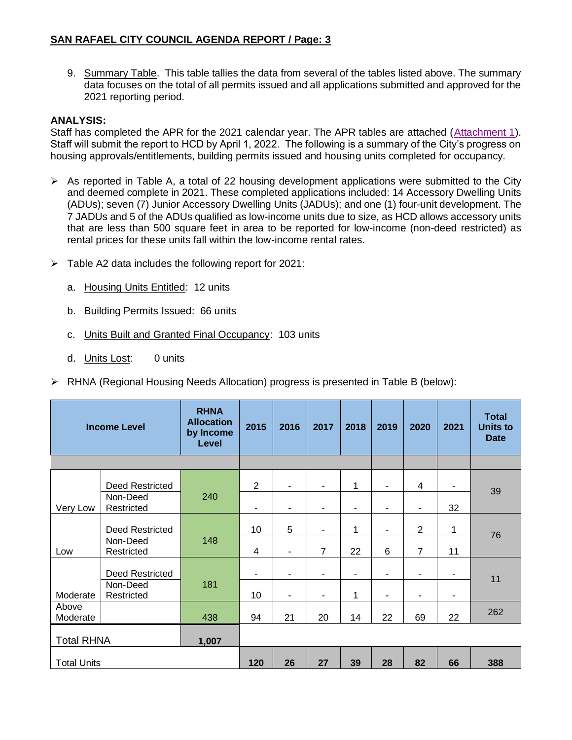9. Summary Table. This table tallies the data from several of the tables listed above. The summary data focuses on the total of all permits issued and all applications submitted and approved for the 2021 reporting period.

#### **ANALYSIS:**

Staff has completed the APR for the 2021 calendar year. The APR tables are attached [\(Attachment 1\)](https://www.dropbox.com/s/pd01oms6xlp6rhs/2.%20Housing%20Element%20Annual%20Progress%20Report%20for%20CY2021.xlsm?dl=0). Staff will submit the report to HCD by April 1, 2022. The following is a summary of the City's progress on housing approvals/entitlements, building permits issued and housing units completed for occupancy.

- $\triangleright$  As reported in Table A, a total of 22 housing development applications were submitted to the City and deemed complete in 2021. These completed applications included: 14 Accessory Dwelling Units (ADUs); seven (7) Junior Accessory Dwelling Units (JADUs); and one (1) four-unit development. The 7 JADUs and 5 of the ADUs qualified as low-income units due to size, as HCD allows accessory units that are less than 500 square feet in area to be reported for low-income (non-deed restricted) as rental prices for these units fall within the low-income rental rates.
- $\triangleright$  Table A2 data includes the following report for 2021:
	- a. Housing Units Entitled: 12 units
	- b. Building Permits Issued: 66 units
	- c. Units Built and Granted Final Occupancy: 103 units
	- d. Units Lost: 0 units
- $\triangleright$  RHNA (Regional Housing Needs Allocation) progress is presented in Table B (below):

| <b>Income Level</b> |                        | <b>RHNA</b><br><b>Allocation</b><br>by Income<br>Level | 2015                     | 2016 | 2017           | 2018 | 2019 | 2020           | 2021 | <b>Total</b><br><b>Units to</b><br><b>Date</b> |
|---------------------|------------------------|--------------------------------------------------------|--------------------------|------|----------------|------|------|----------------|------|------------------------------------------------|
|                     |                        |                                                        |                          |      |                |      |      |                |      |                                                |
|                     | Deed Restricted        |                                                        | $\overline{2}$           | ۰    |                | 1    | ۰    | 4              | ۰    | 39                                             |
| Very Low            | Non-Deed<br>Restricted | 240                                                    | $\overline{\phantom{a}}$ | ۰    |                | ٠    | ۰    | ۰              | 32   |                                                |
|                     | <b>Deed Restricted</b> |                                                        | 10                       | 5    |                | 1    | ۰    | $\overline{2}$ | 1    | 76                                             |
| Low                 | Non-Deed<br>Restricted | 148                                                    | $\overline{4}$           | ۰    | $\overline{7}$ | 22   | 6    | $\overline{7}$ | 11   |                                                |
|                     | <b>Deed Restricted</b> |                                                        | $\blacksquare$           | ۰    |                | ۰    | ۰    | ٠              | ۰    |                                                |
| Moderate            | Non-Deed<br>Restricted | 181                                                    | 10                       | ۰    | $\blacksquare$ | 1    | ۰    | ٠              | ۰    | 11                                             |
| Above<br>Moderate   |                        | 438                                                    | 94                       | 21   | 20             | 14   | 22   | 69             | 22   | 262                                            |
| <b>Total RHNA</b>   |                        | 1,007                                                  |                          |      |                |      |      |                |      |                                                |
| <b>Total Units</b>  |                        | 120                                                    | 26                       | 27   | 39             | 28   | 82   | 66             | 388  |                                                |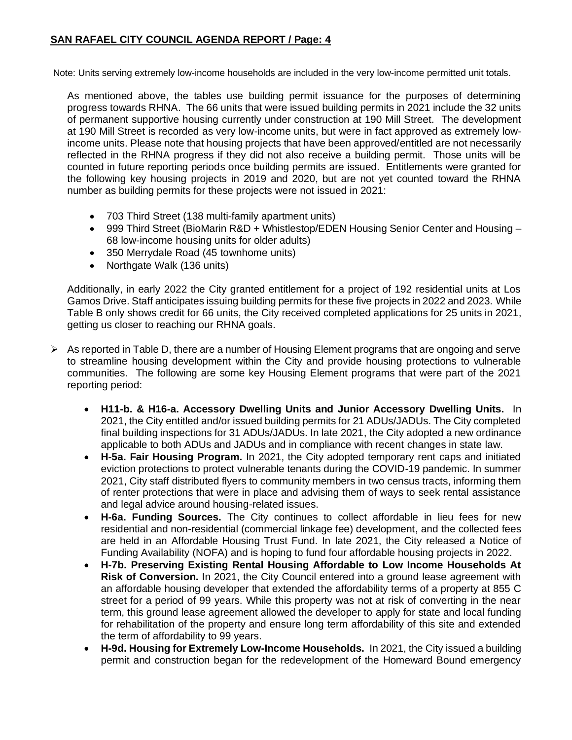#### **SAN RAFAEL CITY COUNCIL AGENDA REPORT / Page: 4**

Note: Units serving extremely low-income households are included in the very low-income permitted unit totals.

As mentioned above, the tables use building permit issuance for the purposes of determining progress towards RHNA. The 66 units that were issued building permits in 2021 include the 32 units of permanent supportive housing currently under construction at 190 Mill Street. The development at 190 Mill Street is recorded as very low-income units, but were in fact approved as extremely lowincome units. Please note that housing projects that have been approved/entitled are not necessarily reflected in the RHNA progress if they did not also receive a building permit. Those units will be counted in future reporting periods once building permits are issued. Entitlements were granted for the following key housing projects in 2019 and 2020, but are not yet counted toward the RHNA number as building permits for these projects were not issued in 2021:

- 703 Third Street (138 multi-family apartment units)
- 999 Third Street (BioMarin R&D + Whistlestop/EDEN Housing Senior Center and Housing -68 low-income housing units for older adults)
- 350 Merrydale Road (45 townhome units)
- Northgate Walk (136 units)

Additionally, in early 2022 the City granted entitlement for a project of 192 residential units at Los Gamos Drive. Staff anticipates issuing building permits for these five projects in 2022 and 2023. While Table B only shows credit for 66 units, the City received completed applications for 25 units in 2021, getting us closer to reaching our RHNA goals.

- $\triangleright$  As reported in Table D, there are a number of Housing Element programs that are ongoing and serve to streamline housing development within the City and provide housing protections to vulnerable communities. The following are some key Housing Element programs that were part of the 2021 reporting period:
	- **H11-b. & H16-a. Accessory Dwelling Units and Junior Accessory Dwelling Units.** In 2021, the City entitled and/or issued building permits for 21 ADUs/JADUs. The City completed final building inspections for 31 ADUs/JADUs. In late 2021, the City adopted a new ordinance applicable to both ADUs and JADUs and in compliance with recent changes in state law.
	- **H-5a. Fair Housing Program.** In 2021, the City adopted temporary rent caps and initiated eviction protections to protect vulnerable tenants during the COVID-19 pandemic. In summer 2021, City staff distributed flyers to community members in two census tracts, informing them of renter protections that were in place and advising them of ways to seek rental assistance and legal advice around housing-related issues.
	- **H-6a. Funding Sources.** The City continues to collect affordable in lieu fees for new residential and non-residential (commercial linkage fee) development, and the collected fees are held in an Affordable Housing Trust Fund. In late 2021, the City released a Notice of Funding Availability (NOFA) and is hoping to fund four affordable housing projects in 2022.
	- **H-7b. Preserving Existing Rental Housing Affordable to Low Income Households At Risk of Conversion.** In 2021, the City Council entered into a ground lease agreement with an affordable housing developer that extended the affordability terms of a property at 855 C street for a period of 99 years. While this property was not at risk of converting in the near term, this ground lease agreement allowed the developer to apply for state and local funding for rehabilitation of the property and ensure long term affordability of this site and extended the term of affordability to 99 years.
	- **H-9d. Housing for Extremely Low-Income Households.** In 2021, the City issued a building permit and construction began for the redevelopment of the Homeward Bound emergency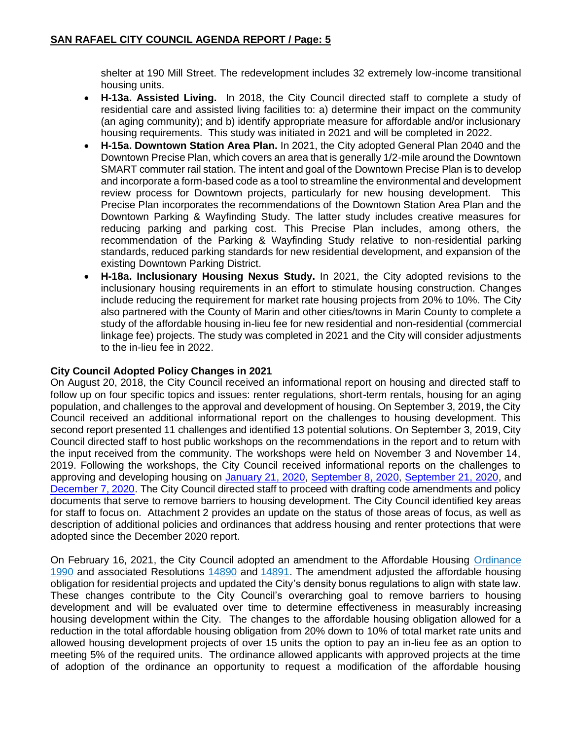shelter at 190 Mill Street. The redevelopment includes 32 extremely low-income transitional housing units.

- **H-13a. Assisted Living.** In 2018, the City Council directed staff to complete a study of residential care and assisted living facilities to: a) determine their impact on the community (an aging community); and b) identify appropriate measure for affordable and/or inclusionary housing requirements. This study was initiated in 2021 and will be completed in 2022.
- **H-15a. Downtown Station Area Plan.** In 2021, the City adopted General Plan 2040 and the Downtown Precise Plan, which covers an area that is generally 1/2-mile around the Downtown SMART commuter rail station. The intent and goal of the Downtown Precise Plan is to develop and incorporate a form-based code as a tool to streamline the environmental and development review process for Downtown projects, particularly for new housing development. This Precise Plan incorporates the recommendations of the Downtown Station Area Plan and the Downtown Parking & Wayfinding Study. The latter study includes creative measures for reducing parking and parking cost. This Precise Plan includes, among others, the recommendation of the Parking & Wayfinding Study relative to non-residential parking standards, reduced parking standards for new residential development, and expansion of the existing Downtown Parking District.
- **H-18a. Inclusionary Housing Nexus Study.** In 2021, the City adopted revisions to the inclusionary housing requirements in an effort to stimulate housing construction. Changes include reducing the requirement for market rate housing projects from 20% to 10%. The City also partnered with the County of Marin and other cities/towns in Marin County to complete a study of the affordable housing in-lieu fee for new residential and non-residential (commercial linkage fee) projects. The study was completed in 2021 and the City will consider adjustments to the in-lieu fee in 2022.

#### **City Council Adopted Policy Changes in 2021**

On August 20, 2018, the City Council received an informational report on housing and directed staff to follow up on four specific topics and issues: renter regulations, short-term rentals, housing for an aging population, and challenges to the approval and development of housing. On September 3, 2019, the City Council received an additional informational report on the challenges to housing development. This second report presented 11 challenges and identified 13 potential solutions. On September 3, 2019, City Council directed staff to host public workshops on the recommendations in the report and to return with the input received from the community. The workshops were held on November 3 and November 14, 2019. Following the workshops, the City Council received informational reports on the challenges to approving and developing housing on [January 21, 2020,](http://publicrecords.cityofsanrafael.org/WebLink/DocView.aspx?id=28471&dbid=0&repo=CityofSanRafael) [September 8, 2020,](http://publicrecords.cityofsanrafael.org/WebLink/DocView.aspx?id=31582&dbid=0&repo=CityofSanRafael) [September 21, 2020,](http://publicrecords.cityofsanrafael.org/WebLink/DocView.aspx?id=31920&dbid=0&repo=CityofSanRafael) and [December 7, 2020.](http://publicrecords.cityofsanrafael.org/WebLink/DocView.aspx?id=32409&dbid=0&repo=CityofSanRafael) The City Council directed staff to proceed with drafting code amendments and policy documents that serve to remove barriers to housing development. The City Council identified key areas for staff to focus on. Attachment 2 provides an update on the status of those areas of focus, as well as description of additional policies and ordinances that address housing and renter protections that were adopted since the December 2020 report.

On February 16, 2021, the City Council adopted an amendment to the Affordable Housing [Ordinance](https://storage.googleapis.com/proudcity/sanrafaelca/uploads/2021/05/Housing-Ordinance_1990_Final-approved-2-16-21.pdf)  [1990](https://storage.googleapis.com/proudcity/sanrafaelca/uploads/2021/05/Housing-Ordinance_1990_Final-approved-2-16-21.pdf) and associated Resolutions [14890](https://storage.googleapis.com/proudcity/sanrafaelca/uploads/2021/09/Reso-14890.pdf) and [14891.](https://storage.googleapis.com/proudcity/sanrafaelca/uploads/2021/09/Resolution-14891-with-tables.pdf) The amendment adjusted the affordable housing obligation for residential projects and updated the City's density bonus regulations to align with state law. These changes contribute to the City Council's overarching goal to remove barriers to housing development and will be evaluated over time to determine effectiveness in measurably increasing housing development within the City. The changes to the affordable housing obligation allowed for a reduction in the total affordable housing obligation from 20% down to 10% of total market rate units and allowed housing development projects of over 15 units the option to pay an in-lieu fee as an option to meeting 5% of the required units. The ordinance allowed applicants with approved projects at the time of adoption of the ordinance an opportunity to request a modification of the affordable housing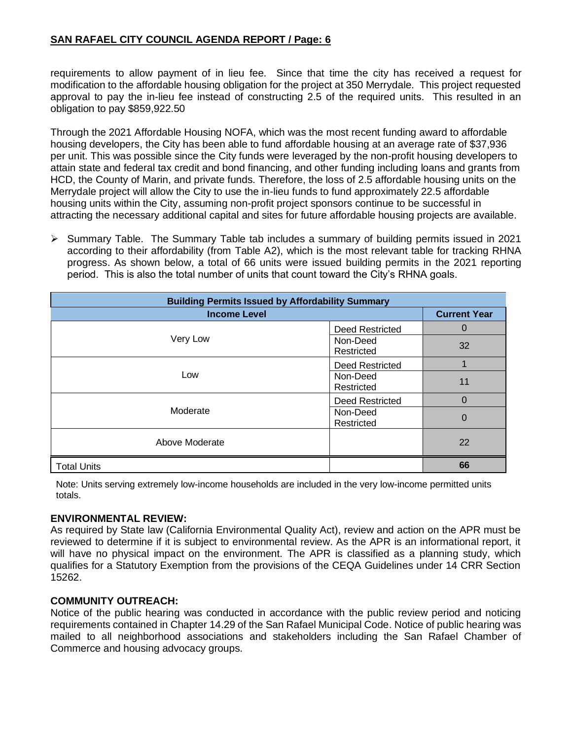#### **SAN RAFAEL CITY COUNCIL AGENDA REPORT / Page: 6**

requirements to allow payment of in lieu fee. Since that time the city has received a request for modification to the affordable housing obligation for the project at 350 Merrydale. This project requested approval to pay the in-lieu fee instead of constructing 2.5 of the required units. This resulted in an obligation to pay \$859,922.50

Through the 2021 Affordable Housing NOFA, which was the most recent funding award to affordable housing developers, the City has been able to fund affordable housing at an average rate of \$37,936 per unit. This was possible since the City funds were leveraged by the non-profit housing developers to attain state and federal tax credit and bond financing, and other funding including loans and grants from HCD, the County of Marin, and private funds. Therefore, the loss of 2.5 affordable housing units on the Merrydale project will allow the City to use the in-lieu funds to fund approximately 22.5 affordable housing units within the City, assuming non-profit project sponsors continue to be successful in attracting the necessary additional capital and sites for future affordable housing projects are available.

➢ Summary Table. The Summary Table tab includes a summary of building permits issued in 2021 according to their affordability (from Table A2), which is the most relevant table for tracking RHNA progress. As shown below, a total of 66 units were issued building permits in the 2021 reporting period. This is also the total number of units that count toward the City's RHNA goals.

| <b>Building Permits Issued by Affordability Summary</b> |                        |                |  |  |
|---------------------------------------------------------|------------------------|----------------|--|--|
| <b>Income Level</b>                                     | <b>Current Year</b>    |                |  |  |
|                                                         | <b>Deed Restricted</b> | $\Omega$       |  |  |
| Very Low                                                | Non-Deed<br>Restricted | 32             |  |  |
|                                                         | <b>Deed Restricted</b> |                |  |  |
| Low                                                     | Non-Deed<br>Restricted | 11             |  |  |
|                                                         | <b>Deed Restricted</b> | $\overline{0}$ |  |  |
| Moderate                                                | Non-Deed<br>Restricted | $\Omega$       |  |  |
| Above Moderate                                          |                        | 22             |  |  |
| <b>Total Units</b>                                      |                        | 66             |  |  |

Note: Units serving extremely low-income households are included in the very low-income permitted units totals.

#### **ENVIRONMENTAL REVIEW:**

As required by State law (California Environmental Quality Act), review and action on the APR must be reviewed to determine if it is subject to environmental review. As the APR is an informational report, it will have no physical impact on the environment. The APR is classified as a planning study, which qualifies for a Statutory Exemption from the provisions of the CEQA Guidelines under 14 CRR Section 15262.

#### **COMMUNITY OUTREACH:**

Notice of the public hearing was conducted in accordance with the public review period and noticing requirements contained in Chapter 14.29 of the San Rafael Municipal Code. Notice of public hearing was mailed to all neighborhood associations and stakeholders including the San Rafael Chamber of Commerce and housing advocacy groups.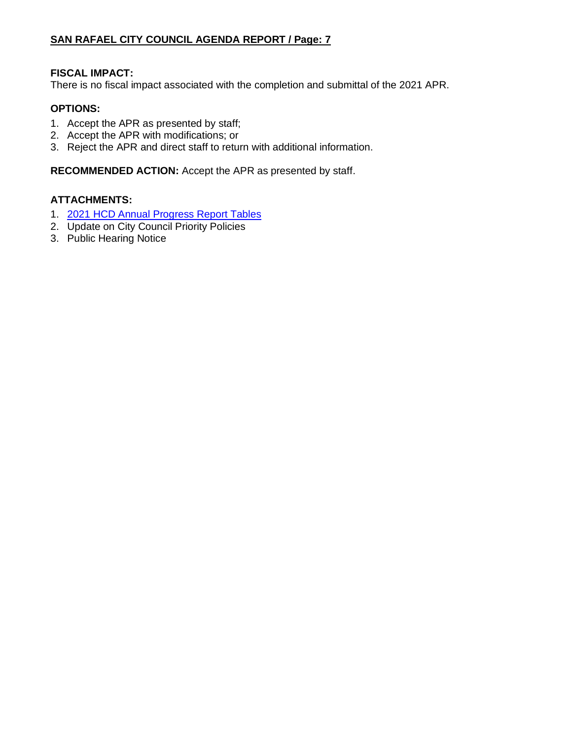#### **FISCAL IMPACT:**

There is no fiscal impact associated with the completion and submittal of the 2021 APR.

#### **OPTIONS:**

- 1. Accept the APR as presented by staff;
- 2. Accept the APR with modifications; or
- 3. Reject the APR and direct staff to return with additional information.

**RECOMMENDED ACTION:** Accept the APR as presented by staff.

#### **ATTACHMENTS:**

- 1. [2021 HCD Annual Progress Report Tables](https://www.dropbox.com/s/pd01oms6xlp6rhs/2.%20Housing%20Element%20Annual%20Progress%20Report%20for%20CY2021.xlsm?dl=0)
- 2. Update on City Council Priority Policies
- 3. Public Hearing Notice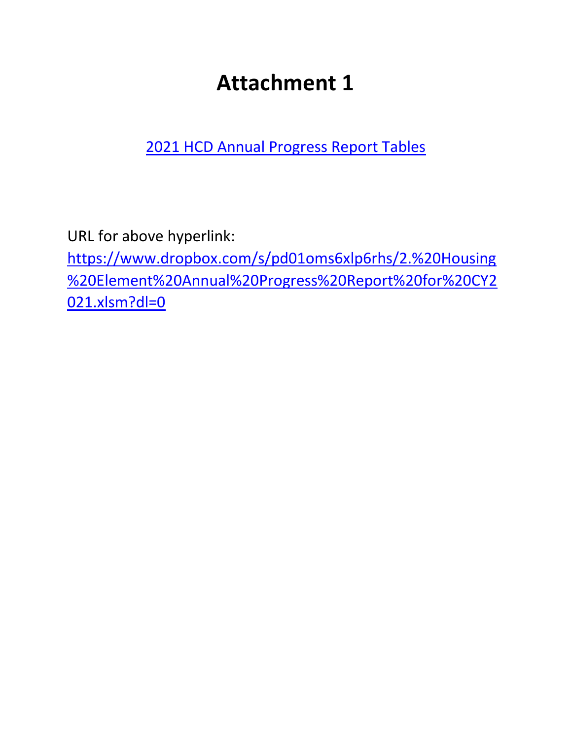# **Attachment 1**

[2021 HCD Annual Progress Report Tables](https://www.dropbox.com/s/pd01oms6xlp6rhs/2.%20Housing%20Element%20Annual%20Progress%20Report%20for%20CY2021.xlsm?dl=0)

URL for above hyperlink:

[https://www.dropbox.com/s/pd01oms6xlp6rhs/2.%20Housing](https://www.dropbox.com/s/pd01oms6xlp6rhs/2.%20Housing%20Element%20Annual%20Progress%20Report%20for%20CY2021.xlsm?dl=0) [%20Element%20Annual%20Progress%20Report%20for%20CY2](https://www.dropbox.com/s/pd01oms6xlp6rhs/2.%20Housing%20Element%20Annual%20Progress%20Report%20for%20CY2021.xlsm?dl=0) [021.xlsm?dl=0](https://www.dropbox.com/s/pd01oms6xlp6rhs/2.%20Housing%20Element%20Annual%20Progress%20Report%20for%20CY2021.xlsm?dl=0)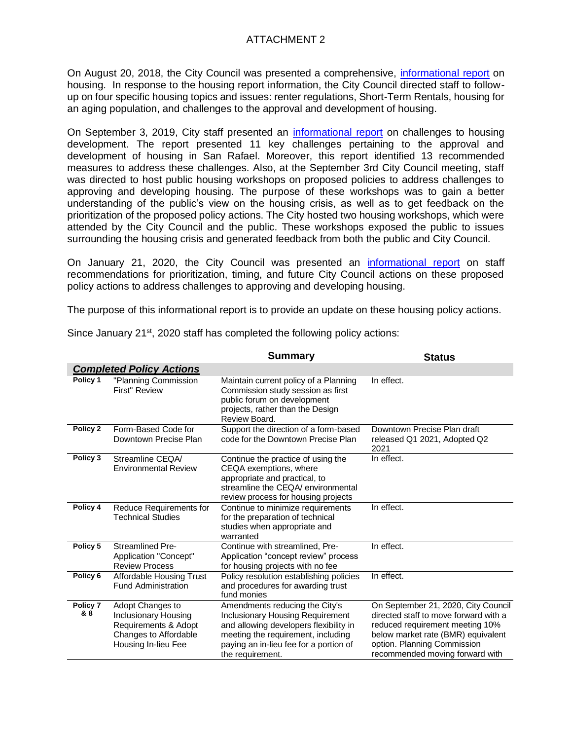#### ATTACHMENT 2

On August 20, 2018, the City Council was presented a comprehensive, [informational report](https://publicrecords.cityofsanrafael.org/WebLink/DocView.aspx?id=24842&dbid=0&repo=CityofSanRafael) on housing. In response to the housing report information, the City Council directed staff to followup on four specific housing topics and issues: renter regulations, Short-Term Rentals, housing for an aging population, and challenges to the approval and development of housing.

On September 3, 2019, City staff presented an [informational report](https://publicrecords.cityofsanrafael.org/WebLink/DocView.aspx?id=28062&dbid=0&repo=CityofSanRafael) on challenges to housing development. The report presented 11 key challenges pertaining to the approval and development of housing in San Rafael. Moreover, this report identified 13 recommended measures to address these challenges. Also, at the September 3rd City Council meeting, staff was directed to host public housing workshops on proposed policies to address challenges to approving and developing housing. The purpose of these workshops was to gain a better understanding of the public's view on the housing crisis, as well as to get feedback on the prioritization of the proposed policy actions. The City hosted two housing workshops, which were attended by the City Council and the public. These workshops exposed the public to issues surrounding the housing crisis and generated feedback from both the public and City Council.

On January 21, 2020, the City Council was presented an [informational report](https://publicrecords.cityofsanrafael.org/WebLink/DocView.aspx?id=28471&dbid=0&repo=CityofSanRafael) on staff recommendations for prioritization, timing, and future City Council actions on these proposed policy actions to address challenges to approving and developing housing.

The purpose of this informational report is to provide an update on these housing policy actions.

|                 |                                                                                                                  | <b>Summary</b>                                                                                                                                                                                                   | <b>Status</b>                                                                                                                                                                                                           |
|-----------------|------------------------------------------------------------------------------------------------------------------|------------------------------------------------------------------------------------------------------------------------------------------------------------------------------------------------------------------|-------------------------------------------------------------------------------------------------------------------------------------------------------------------------------------------------------------------------|
|                 | <b>Completed Policy Actions</b>                                                                                  |                                                                                                                                                                                                                  |                                                                                                                                                                                                                         |
| Policy 1        | "Planning Commission<br>First" Review                                                                            | Maintain current policy of a Planning<br>Commission study session as first<br>public forum on development<br>projects, rather than the Design<br>Review Board.                                                   | In effect.                                                                                                                                                                                                              |
| Policy 2        | Form-Based Code for<br>Downtown Precise Plan                                                                     | Support the direction of a form-based<br>code for the Downtown Precise Plan                                                                                                                                      | Downtown Precise Plan draft<br>released Q1 2021, Adopted Q2<br>2021                                                                                                                                                     |
| Policy 3        | Streamline CEQA<br><b>Environmental Review</b>                                                                   | Continue the practice of using the<br>CEQA exemptions, where<br>appropriate and practical, to<br>streamline the CEQA/ environmental<br>review process for housing projects                                       | In effect.                                                                                                                                                                                                              |
| Policy 4        | Reduce Requirements for<br><b>Technical Studies</b>                                                              | Continue to minimize requirements<br>for the preparation of technical<br>studies when appropriate and<br>warranted                                                                                               | In effect.                                                                                                                                                                                                              |
| Policy 5        | <b>Streamlined Pre-</b><br>Application "Concept"<br><b>Review Process</b>                                        | Continue with streamlined, Pre-<br>Application "concept review" process<br>for housing projects with no fee                                                                                                      | In effect.                                                                                                                                                                                                              |
| Policy 6        | <b>Affordable Housing Trust</b><br><b>Fund Administration</b>                                                    | Policy resolution establishing policies<br>and procedures for awarding trust<br>fund monies                                                                                                                      | In effect.                                                                                                                                                                                                              |
| Policy 7<br>& 8 | Adopt Changes to<br>Inclusionary Housing<br>Requirements & Adopt<br>Changes to Affordable<br>Housing In-lieu Fee | Amendments reducing the City's<br>Inclusionary Housing Requirement<br>and allowing developers flexibility in<br>meeting the requirement, including<br>paying an in-lieu fee for a portion of<br>the requirement. | On September 21, 2020, City Council<br>directed staff to move forward with a<br>reduced requirement meeting 10%<br>below market rate (BMR) equivalent<br>option. Planning Commission<br>recommended moving forward with |

Since January 21<sup>st</sup>, 2020 staff has completed the following policy actions: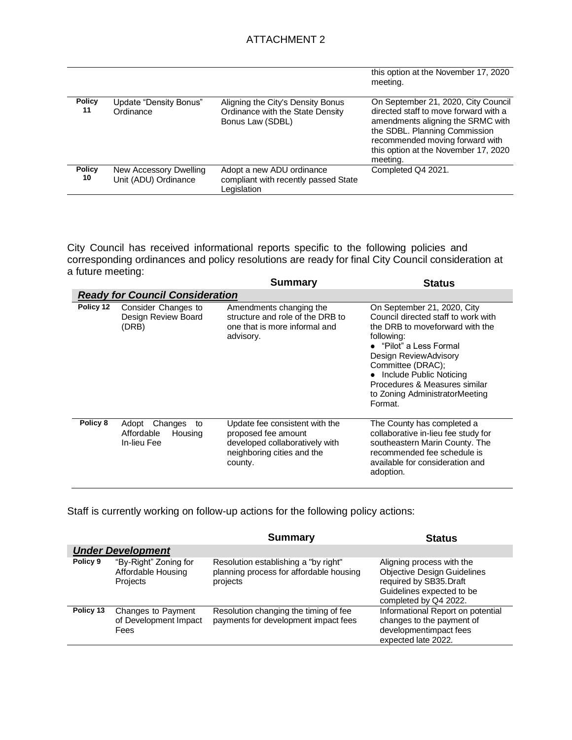|                     |                                                |                                                                                           | this option at the November 17, 2020<br>meeting.                                                                                                                                                                                          |
|---------------------|------------------------------------------------|-------------------------------------------------------------------------------------------|-------------------------------------------------------------------------------------------------------------------------------------------------------------------------------------------------------------------------------------------|
| <b>Policy</b><br>11 | Update "Density Bonus"<br>Ordinance            | Aligning the City's Density Bonus<br>Ordinance with the State Density<br>Bonus Law (SDBL) | On September 21, 2020, City Council<br>directed staff to move forward with a<br>amendments aligning the SRMC with<br>the SDBL. Planning Commission<br>recommended moving forward with<br>this option at the November 17, 2020<br>meeting. |
| <b>Policy</b><br>10 | New Accessory Dwelling<br>Unit (ADU) Ordinance | Adopt a new ADU ordinance<br>compliant with recently passed State<br>Legislation          | Completed Q4 2021.                                                                                                                                                                                                                        |

City Council has received informational reports specific to the following policies and corresponding ordinances and policy resolutions are ready for final City Council consideration at a future meeting:

|           |                                                                | <b>Summary</b>                                                                                                                   | <b>Status</b>                                                                                                                                                                                                                                                                                           |
|-----------|----------------------------------------------------------------|----------------------------------------------------------------------------------------------------------------------------------|---------------------------------------------------------------------------------------------------------------------------------------------------------------------------------------------------------------------------------------------------------------------------------------------------------|
|           | <b>Ready for Council Consideration</b>                         |                                                                                                                                  |                                                                                                                                                                                                                                                                                                         |
| Policy 12 | Consider Changes to<br>Design Review Board<br>(DRB)            | Amendments changing the<br>structure and role of the DRB to<br>one that is more informal and<br>advisory.                        | On September 21, 2020, City<br>Council directed staff to work with<br>the DRB to moveforward with the<br>following:<br>• "Pilot" a Less Formal<br>Design ReviewAdvisory<br>Committee (DRAC);<br>• Include Public Noticing<br>Procedures & Measures similar<br>to Zoning AdministratorMeeting<br>Format. |
| Policy 8  | Adopt<br>Changes<br>to<br>Affordable<br>Housing<br>In-lieu Fee | Update fee consistent with the<br>proposed fee amount<br>developed collaboratively with<br>neighboring cities and the<br>county. | The County has completed a<br>collaborative in-lieu fee study for<br>southeastern Marin County. The<br>recommended fee schedule is<br>available for consideration and<br>adoption.                                                                                                                      |

Staff is currently working on follow-up actions for the following policy actions:

|                          |                                                            | <b>Summary</b>                                                                              | <b>Status</b>                                                                                                                                   |  |  |  |
|--------------------------|------------------------------------------------------------|---------------------------------------------------------------------------------------------|-------------------------------------------------------------------------------------------------------------------------------------------------|--|--|--|
| <b>Under Development</b> |                                                            |                                                                                             |                                                                                                                                                 |  |  |  |
| Policy 9                 | "By-Right" Zoning for<br>Affordable Housing<br>Projects    | Resolution establishing a "by right"<br>planning process for affordable housing<br>projects | Aligning process with the<br><b>Objective Design Guidelines</b><br>required by SB35.Draft<br>Guidelines expected to be<br>completed by Q4 2022. |  |  |  |
| Policy 13                | Changes to Payment<br>of Development Impact<br><b>Fees</b> | Resolution changing the timing of fee<br>payments for development impact fees               | Informational Report on potential<br>changes to the payment of<br>developmentimpact fees<br>expected late 2022.                                 |  |  |  |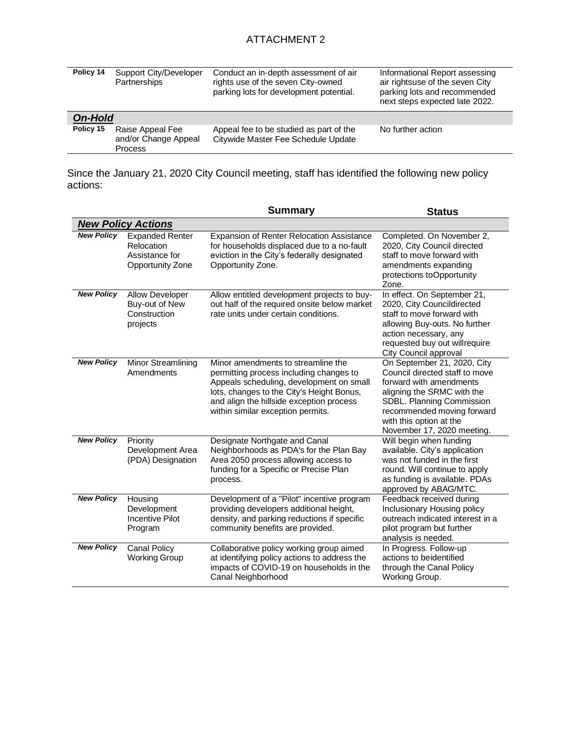| Policy 14      | Support City/Developer<br>Partnerships                     | Conduct an in-depth assessment of air<br>rights use of the seven City-owned<br>parking lots for development potential. | Informational Report assessing<br>air rightsuse of the seven City<br>parking lots and recommended<br>next steps expected late 2022. |
|----------------|------------------------------------------------------------|------------------------------------------------------------------------------------------------------------------------|-------------------------------------------------------------------------------------------------------------------------------------|
| <b>On-Hold</b> |                                                            |                                                                                                                        |                                                                                                                                     |
| Policy 15      | Raise Appeal Fee<br>and/or Change Appeal<br><b>Process</b> | Appeal fee to be studied as part of the<br>Citywide Master Fee Schedule Update                                         | No further action                                                                                                                   |

Since the January 21, 2020 City Council meeting, staff has identified the following new policy actions:

|                   |                                                                            | <b>Summary</b>                                                                                                                                                                                                                                          | <b>Status</b>                                                                                                                                                                                                                              |
|-------------------|----------------------------------------------------------------------------|---------------------------------------------------------------------------------------------------------------------------------------------------------------------------------------------------------------------------------------------------------|--------------------------------------------------------------------------------------------------------------------------------------------------------------------------------------------------------------------------------------------|
|                   | <b>New Policy Actions</b>                                                  |                                                                                                                                                                                                                                                         |                                                                                                                                                                                                                                            |
| <b>New Policy</b> | <b>Expanded Renter</b><br>Relocation<br>Assistance for<br>Opportunity Zone | Expansion of Renter Relocation Assistance<br>for households displaced due to a no-fault<br>eviction in the City's federally designated<br>Opportunity Zone.                                                                                             | Completed. On November 2,<br>2020, City Council directed<br>staff to move forward with<br>amendments expanding<br>protections toOpportunity<br>Zone.                                                                                       |
| <b>New Policy</b> | Allow Developer<br>Buy-out of New<br>Construction<br>projects              | Allow entitled development projects to buy-<br>out half of the required onsite below market<br>rate units under certain conditions.                                                                                                                     | In effect. On September 21,<br>2020, City Councildirected<br>staff to move forward with<br>allowing Buy-outs. No further<br>action necessary, any<br>requested buy out willrequire<br>City Council approval                                |
| <b>New Policy</b> | Minor Streamlining<br>Amendments                                           | Minor amendments to streamline the<br>permitting process including changes to<br>Appeals scheduling, development on small<br>lots, changes to the City's Height Bonus,<br>and align the hillside exception process<br>within similar exception permits. | On September 21, 2020, City<br>Council directed staff to move<br>forward with amendments<br>aligning the SRMC with the<br>SDBL. Planning Commission<br>recommended moving forward<br>with this option at the<br>November 17, 2020 meeting. |
| <b>New Policy</b> | Priority<br>Development Area<br>(PDA) Designation                          | Designate Northgate and Canal<br>Neighborhoods as PDA's for the Plan Bay<br>Area 2050 process allowing access to<br>funding for a Specific or Precise Plan<br>process.                                                                                  | Will begin when funding<br>available. City's application<br>was not funded in the first<br>round. Will continue to apply<br>as funding is available. PDAs<br>approved by ABAG/MTC.                                                         |
| <b>New Policy</b> | Housing<br>Development<br><b>Incentive Pilot</b><br>Program                | Development of a "Pilot" incentive program<br>providing developers additional height,<br>density, and parking reductions if specific<br>community benefits are provided.                                                                                | Feedback received during<br>Inclusionary Housing policy<br>outreach indicated interest in a<br>pilot program but further<br>analysis is needed.                                                                                            |
| <b>New Policy</b> | <b>Canal Policy</b><br><b>Working Group</b>                                | Collaborative policy working group aimed<br>at identifying policy actions to address the<br>impacts of COVID-19 on households in the<br>Canal Neighborhood                                                                                              | In Progress. Follow-up<br>actions to beidentified<br>through the Canal Policy<br>Working Group.                                                                                                                                            |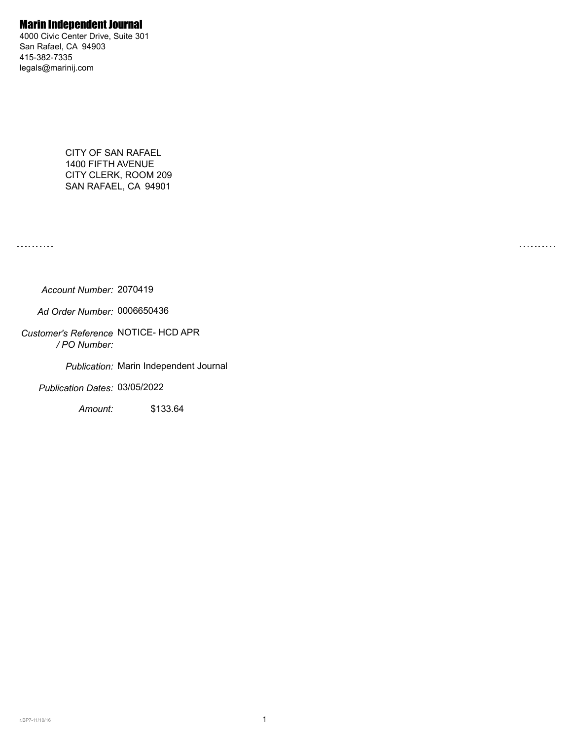### Marin Independent Journal

4000 Civic Center Drive, Suite 301 San Rafael, CA 94903 415-382-7335 legals@marinij.com

> CITY OF SAN RAFAEL 1400 FIFTH AVENUE CITY CLERK, ROOM 209 SAN RAFAEL, CA 94901

. . . . . . . . . .

. . . . . . . . . .

*Account Number:* 2070419

*Ad Order Number:* 0006650436

*Customer's Reference* NOTICE- HCD APR  */ PO Number:* 

*Publication:* Marin Independent Journal

*Publication Dates:* 03/05/2022

*Amount:* \$133.64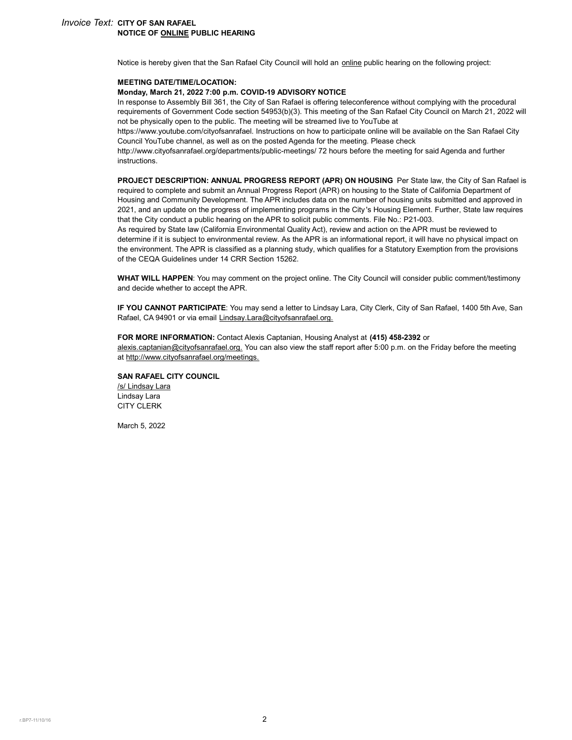#### *Invoice Text:* **CITY OF SAN RAFAEL NOTICE OF ONLINE PUBLIC HEARING**

Notice is hereby given that the San Rafael City Council will hold an online public hearing on the following project:

#### **MEETING DATE/TIME/LOCATION:**

#### **Monday, March 21, 2022 7:00 p.m. COVID-19 ADVISORY NOTICE**

In response to Assembly Bill 361, the City of San Rafael is offering teleconference without complying with the procedural requirements of Government Code section 54953(b)(3). This meeting of the San Rafael City Council on March 21, 2022 will not be physically open to the public. The meeting will be streamed live to YouTube at

https://www.youtube.com/cityofsanrafael. Instructions on how to participate online will be available on the San Rafael City Council YouTube channel, as well as on the posted Agenda for the meeting. Please check

http://www.cityofsanrafael.org/departments/public-meetings/ 72 hours before the meeting for said Agenda and further instructions.

**PROJECT DESCRIPTION: ANNUAL PROGRESS REPORT (APR) ON HOUSING** Per State law, the City of San Rafael is required to complete and submit an Annual Progress Report (APR) on housing to the State of California Department of Housing and Community Development. The APR includes data on the number of housing units submitted and approved in 2021, and an update on the progress of implementing programs in the City 's Housing Element. Further, State law requires that the City conduct a public hearing on the APR to solicit public comments. File No.: P21-003.

As required by State law (California Environmental Quality Act), review and action on the APR must be reviewed to determine if it is subject to environmental review. As the APR is an informational report, it will have no physical impact on the environment. The APR is classified as a planning study, which qualifies for a Statutory Exemption from the provisions of the CEQA Guidelines under 14 CRR Section 15262.

**WHAT WILL HAPPEN**: You may comment on the project online. The City Council will consider public comment/testimony and decide whether to accept the APR.

**IF YOU CANNOT PARTICIPATE**: You may send a letter to Lindsay Lara, City Clerk, City of San Rafael, 1400 5th Ave, San Rafael, CA 94901 or via email Lindsay.Lara@cityofsanrafael.org.

**FOR MORE INFORMATION:** Contact Alexis Captanian, Housing Analyst at **(415) 458-2392** or alexis.captanian@cityofsanrafael.org. You can also view the staff report after 5:00 p.m. on the Friday before the meeting at http://www.cityofsanrafael.org/meetings.

#### **SAN RAFAEL CITY COUNCIL** /s/ Lindsay Lara

Lindsay Lara CITY CLERK

March 5, 2022